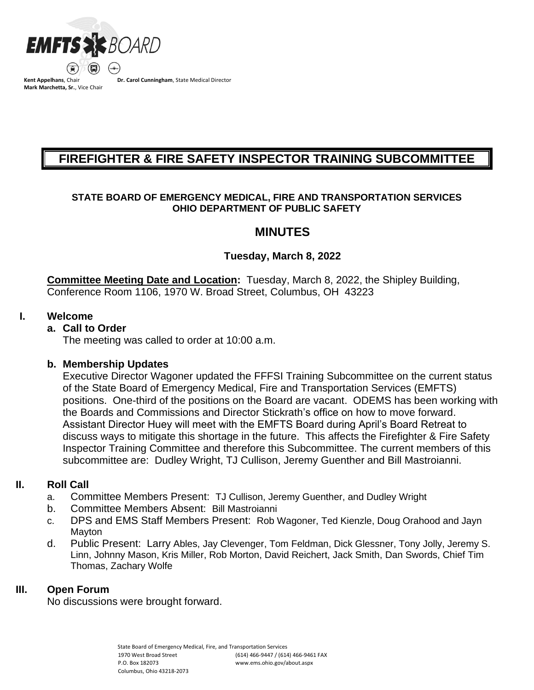

**Mark Marchetta, Sr.**, Vice Chair

**Dr. Carol Cunningham**, State Medical Director

# **FIREFIGHTER & FIRE SAFETY INSPECTOR TRAINING SUBCOMMITTEE**

# **STATE BOARD OF EMERGENCY MEDICAL, FIRE AND TRANSPORTATION SERVICES OHIO DEPARTMENT OF PUBLIC SAFETY**

# **MINUTES**

# **Tuesday, March 8, 2022**

**Committee Meeting Date and Location:** Tuesday, March 8, 2022, the Shipley Building, Conference Room 1106, 1970 W. Broad Street, Columbus, OH 43223

# **I. Welcome**

# **a. Call to Order**

The meeting was called to order at 10:00 a.m.

# **b. Membership Updates**

Executive Director Wagoner updated the FFFSI Training Subcommittee on the current status of the State Board of Emergency Medical, Fire and Transportation Services (EMFTS) positions. One-third of the positions on the Board are vacant. ODEMS has been working with the Boards and Commissions and Director Stickrath's office on how to move forward. Assistant Director Huey will meet with the EMFTS Board during April's Board Retreat to discuss ways to mitigate this shortage in the future. This affects the Firefighter & Fire Safety Inspector Training Committee and therefore this Subcommittee. The current members of this subcommittee are: Dudley Wright, TJ Cullison, Jeremy Guenther and Bill Mastroianni.

# **II. Roll Call**

- a. Committee Members Present: TJ Cullison, Jeremy Guenther, and Dudley Wright
- b. Committee Members Absent: Bill Mastroianni
- c. DPS and EMS Staff Members Present: Rob Wagoner, Ted Kienzle, Doug Orahood and Jayn Mayton
- d. Public Present: Larry Ables, Jay Clevenger, Tom Feldman, Dick Glessner, Tony Jolly, Jeremy S. Linn, Johnny Mason, Kris Miller, Rob Morton, David Reichert, Jack Smith, Dan Swords, Chief Tim Thomas, Zachary Wolfe

# **III. Open Forum**

No discussions were brought forward.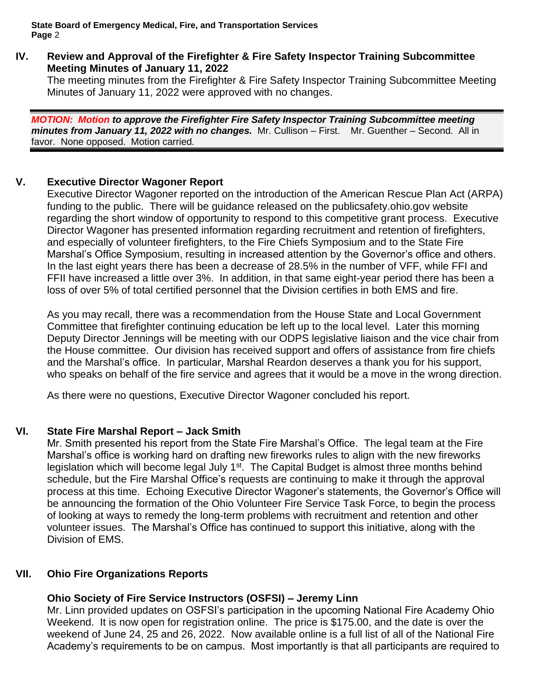**IV. Review and Approval of the Firefighter & Fire Safety Inspector Training Subcommittee Meeting Minutes of January 11, 2022**

The meeting minutes from the Firefighter & Fire Safety Inspector Training Subcommittee Meeting Minutes of January 11, 2022 were approved with no changes.

*MOTION: Motion to approve the Firefighter Fire Safety Inspector Training Subcommittee meeting minutes from January 11, 2022 with no changes.* Mr. Cullison – First. Mr. Guenther – Second. All in favor. None opposed. Motion carried.

# **V. Executive Director Wagoner Report**

Executive Director Wagoner reported on the introduction of the American Rescue Plan Act (ARPA) funding to the public. There will be guidance released on the publicsafety.ohio.gov website regarding the short window of opportunity to respond to this competitive grant process. Executive Director Wagoner has presented information regarding recruitment and retention of firefighters, and especially of volunteer firefighters, to the Fire Chiefs Symposium and to the State Fire Marshal's Office Symposium, resulting in increased attention by the Governor's office and others. In the last eight years there has been a decrease of 28.5% in the number of VFF, while FFI and FFII have increased a little over 3%. In addition, in that same eight-year period there has been a loss of over 5% of total certified personnel that the Division certifies in both EMS and fire.

As you may recall, there was a recommendation from the House State and Local Government Committee that firefighter continuing education be left up to the local level. Later this morning Deputy Director Jennings will be meeting with our ODPS legislative liaison and the vice chair from the House committee. Our division has received support and offers of assistance from fire chiefs and the Marshal's office. In particular, Marshal Reardon deserves a thank you for his support, who speaks on behalf of the fire service and agrees that it would be a move in the wrong direction.

As there were no questions, Executive Director Wagoner concluded his report.

#### **VI. State Fire Marshal Report – Jack Smith**

Mr. Smith presented his report from the State Fire Marshal's Office. The legal team at the Fire Marshal's office is working hard on drafting new fireworks rules to align with the new fireworks legislation which will become legal July 1<sup>st</sup>. The Capital Budget is almost three months behind schedule, but the Fire Marshal Office's requests are continuing to make it through the approval process at this time. Echoing Executive Director Wagoner's statements, the Governor's Office will be announcing the formation of the Ohio Volunteer Fire Service Task Force, to begin the process of looking at ways to remedy the long-term problems with recruitment and retention and other volunteer issues. The Marshal's Office has continued to support this initiative, along with the Division of EMS.

# **VII. Ohio Fire Organizations Reports**

# **Ohio Society of Fire Service Instructors (OSFSI) – Jeremy Linn**

Mr. Linn provided updates on OSFSI's participation in the upcoming National Fire Academy Ohio Weekend. It is now open for registration online. The price is \$175.00, and the date is over the weekend of June 24, 25 and 26, 2022. Now available online is a full list of all of the National Fire Academy's requirements to be on campus. Most importantly is that all participants are required to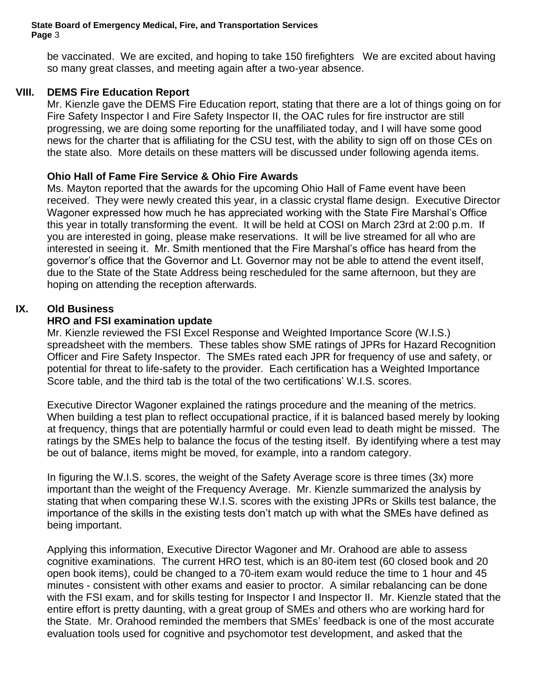be vaccinated. We are excited, and hoping to take 150 firefighters We are excited about having so many great classes, and meeting again after a two-year absence.

# **VIII. DEMS Fire Education Report**

Mr. Kienzle gave the DEMS Fire Education report, stating that there are a lot of things going on for Fire Safety Inspector I and Fire Safety Inspector II, the OAC rules for fire instructor are still progressing, we are doing some reporting for the unaffiliated today, and I will have some good news for the charter that is affiliating for the CSU test, with the ability to sign off on those CEs on the state also. More details on these matters will be discussed under following agenda items.

# **Ohio Hall of Fame Fire Service & Ohio Fire Awards**

Ms. Mayton reported that the awards for the upcoming Ohio Hall of Fame event have been received. They were newly created this year, in a classic crystal flame design. Executive Director Wagoner expressed how much he has appreciated working with the State Fire Marshal's Office this year in totally transforming the event. It will be held at COSI on March 23rd at 2:00 p.m. If you are interested in going, please make reservations. It will be live streamed for all who are interested in seeing it. Mr. Smith mentioned that the Fire Marshal's office has heard from the governor's office that the Governor and Lt. Governor may not be able to attend the event itself, due to the State of the State Address being rescheduled for the same afternoon, but they are hoping on attending the reception afterwards.

# **IX. Old Business**

# **HRO and FSI examination update**

Mr. Kienzle reviewed the FSI Excel Response and Weighted Importance Score (W.I.S.) spreadsheet with the members. These tables show SME ratings of JPRs for Hazard Recognition Officer and Fire Safety Inspector. The SMEs rated each JPR for frequency of use and safety, or potential for threat to life-safety to the provider. Each certification has a Weighted Importance Score table, and the third tab is the total of the two certifications' W.I.S. scores.

Executive Director Wagoner explained the ratings procedure and the meaning of the metrics. When building a test plan to reflect occupational practice, if it is balanced based merely by looking at frequency, things that are potentially harmful or could even lead to death might be missed. The ratings by the SMEs help to balance the focus of the testing itself. By identifying where a test may be out of balance, items might be moved, for example, into a random category.

In figuring the W.I.S. scores, the weight of the Safety Average score is three times (3x) more important than the weight of the Frequency Average. Mr. Kienzle summarized the analysis by stating that when comparing these W.I.S. scores with the existing JPRs or Skills test balance, the importance of the skills in the existing tests don't match up with what the SMEs have defined as being important.

Applying this information, Executive Director Wagoner and Mr. Orahood are able to assess cognitive examinations. The current HRO test, which is an 80-item test (60 closed book and 20 open book items), could be changed to a 70-item exam would reduce the time to 1 hour and 45 minutes - consistent with other exams and easier to proctor. A similar rebalancing can be done with the FSI exam, and for skills testing for Inspector I and Inspector II. Mr. Kienzle stated that the entire effort is pretty daunting, with a great group of SMEs and others who are working hard for the State. Mr. Orahood reminded the members that SMEs' feedback is one of the most accurate evaluation tools used for cognitive and psychomotor test development, and asked that the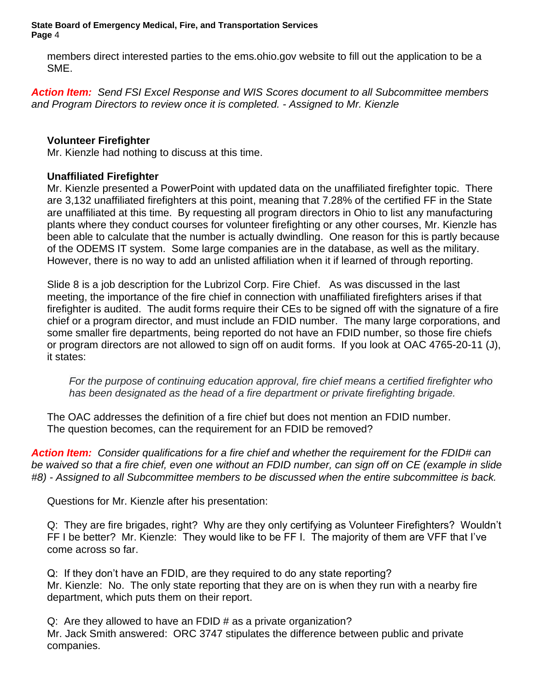members direct interested parties to the ems.ohio.gov website to fill out the application to be a SME.

*Action Item: Send FSI Excel Response and WIS Scores document to all Subcommittee members and Program Directors to review once it is completed. - Assigned to Mr. Kienzle*

### **Volunteer Firefighter**

Mr. Kienzle had nothing to discuss at this time.

### **Unaffiliated Firefighter**

Mr. Kienzle presented a PowerPoint with updated data on the unaffiliated firefighter topic. There are 3,132 unaffiliated firefighters at this point, meaning that 7.28% of the certified FF in the State are unaffiliated at this time. By requesting all program directors in Ohio to list any manufacturing plants where they conduct courses for volunteer firefighting or any other courses, Mr. Kienzle has been able to calculate that the number is actually dwindling. One reason for this is partly because of the ODEMS IT system. Some large companies are in the database, as well as the military. However, there is no way to add an unlisted affiliation when it if learned of through reporting.

Slide 8 is a job description for the Lubrizol Corp. Fire Chief. As was discussed in the last meeting, the importance of the fire chief in connection with unaffiliated firefighters arises if that firefighter is audited. The audit forms require their CEs to be signed off with the signature of a fire chief or a program director, and must include an FDID number. The many large corporations, and some smaller fire departments, being reported do not have an FDID number, so those fire chiefs or program directors are not allowed to sign off on audit forms. If you look at OAC 4765-20-11 (J), it states:

*For the purpose of continuing education approval, fire chief means a certified firefighter who has been designated as the head of a fire department or private firefighting brigade.*

The OAC addresses the definition of a fire chief but does not mention an FDID number. The question becomes, can the requirement for an FDID be removed?

*Action Item: Consider qualifications for a fire chief and whether the requirement for the FDID# can be waived so that a fire chief, even one without an FDID number, can sign off on CE (example in slide #8) - Assigned to all Subcommittee members to be discussed when the entire subcommittee is back.*

Questions for Mr. Kienzle after his presentation:

Q: They are fire brigades, right? Why are they only certifying as Volunteer Firefighters? Wouldn't FF I be better? Mr. Kienzle: They would like to be FF I. The majority of them are VFF that I've come across so far.

Q: If they don't have an FDID, are they required to do any state reporting? Mr. Kienzle: No. The only state reporting that they are on is when they run with a nearby fire department, which puts them on their report.

Q: Are they allowed to have an FDID # as a private organization? Mr. Jack Smith answered: ORC 3747 stipulates the difference between public and private companies.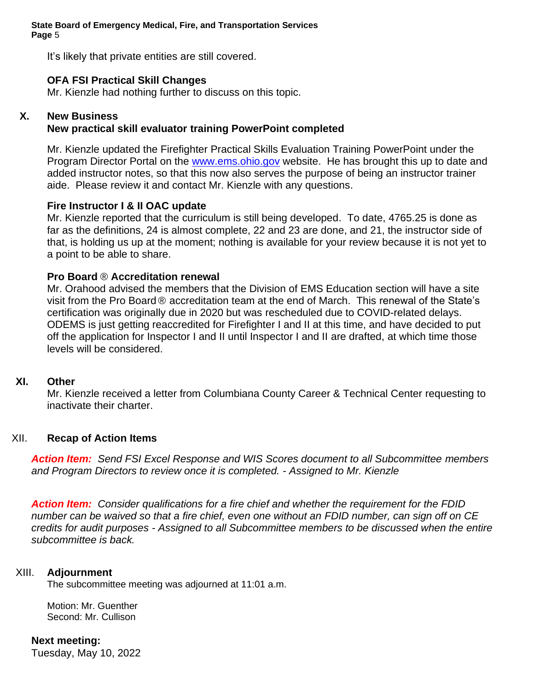It's likely that private entities are still covered.

### **OFA FSI Practical Skill Changes**

Mr. Kienzle had nothing further to discuss on this topic.

### **X. New Business**

### **New practical skill evaluator training PowerPoint completed**

Mr. Kienzle updated the Firefighter Practical Skills Evaluation Training PowerPoint under the Program Director Portal on the [www.ems.ohio.gov](http://www.ems.ohio.gov/) website. He has brought this up to date and added instructor notes, so that this now also serves the purpose of being an instructor trainer aide. Please review it and contact Mr. Kienzle with any questions.

#### **Fire Instructor I & II OAC update**

Mr. Kienzle reported that the curriculum is still being developed. To date, 4765.25 is done as far as the definitions, 24 is almost complete, 22 and 23 are done, and 21, the instructor side of that, is holding us up at the moment; nothing is available for your review because it is not yet to a point to be able to share.

#### **Pro Board** ® **Accreditation renewal**

Mr. Orahood advised the members that the Division of EMS Education section will have a site visit from the Pro Board ® accreditation team at the end of March. This renewal of the State's certification was originally due in 2020 but was rescheduled due to COVID-related delays. ODEMS is just getting reaccredited for Firefighter I and II at this time, and have decided to put off the application for Inspector I and II until Inspector I and II are drafted, at which time those levels will be considered.

#### **XI. Other**

Mr. Kienzle received a letter from Columbiana County Career & Technical Center requesting to inactivate their charter.

#### XII. **Recap of Action Items**

*Action Item: Send FSI Excel Response and WIS Scores document to all Subcommittee members and Program Directors to review once it is completed. - Assigned to Mr. Kienzle*

*Action Item: Consider qualifications for a fire chief and whether the requirement for the FDID number can be waived so that a fire chief, even one without an FDID number, can sign off on CE credits for audit purposes - Assigned to all Subcommittee members to be discussed when the entire subcommittee is back.*

#### XIII. **Adjournment**

The subcommittee meeting was adjourned at 11:01 a.m.

Motion: Mr. Guenther Second: Mr. Cullison

**Next meeting:**

Tuesday, May 10, 2022